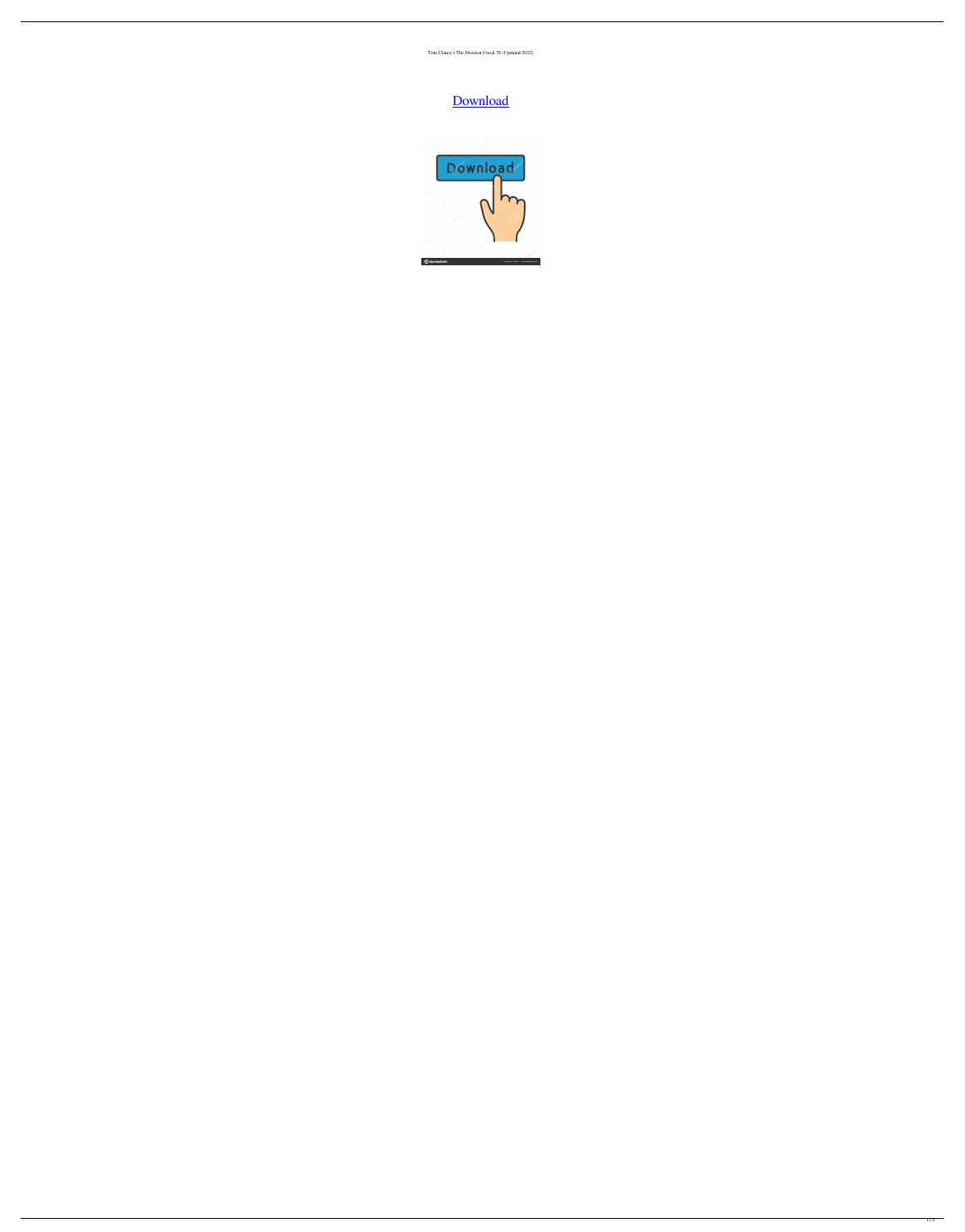Tom Clancy's The Division Crack 78 (Updated 2022)

## [Download](http://evacdir.com/?burnings.connecters/disappeared/tite/ZG93bmxvYWR8cmQ5TWpGcmZId3hOalV5TkRZek1EVXdmSHd5TlRjMGZId29UU2tnY21WaFpDMWliRzluSUZ0R1lYTjBJRWRGVGww/dG9tIGNsYW5jeSdzIHRoZSBkaXZpc2lvbiBjcmFjayA3OAdG9/)

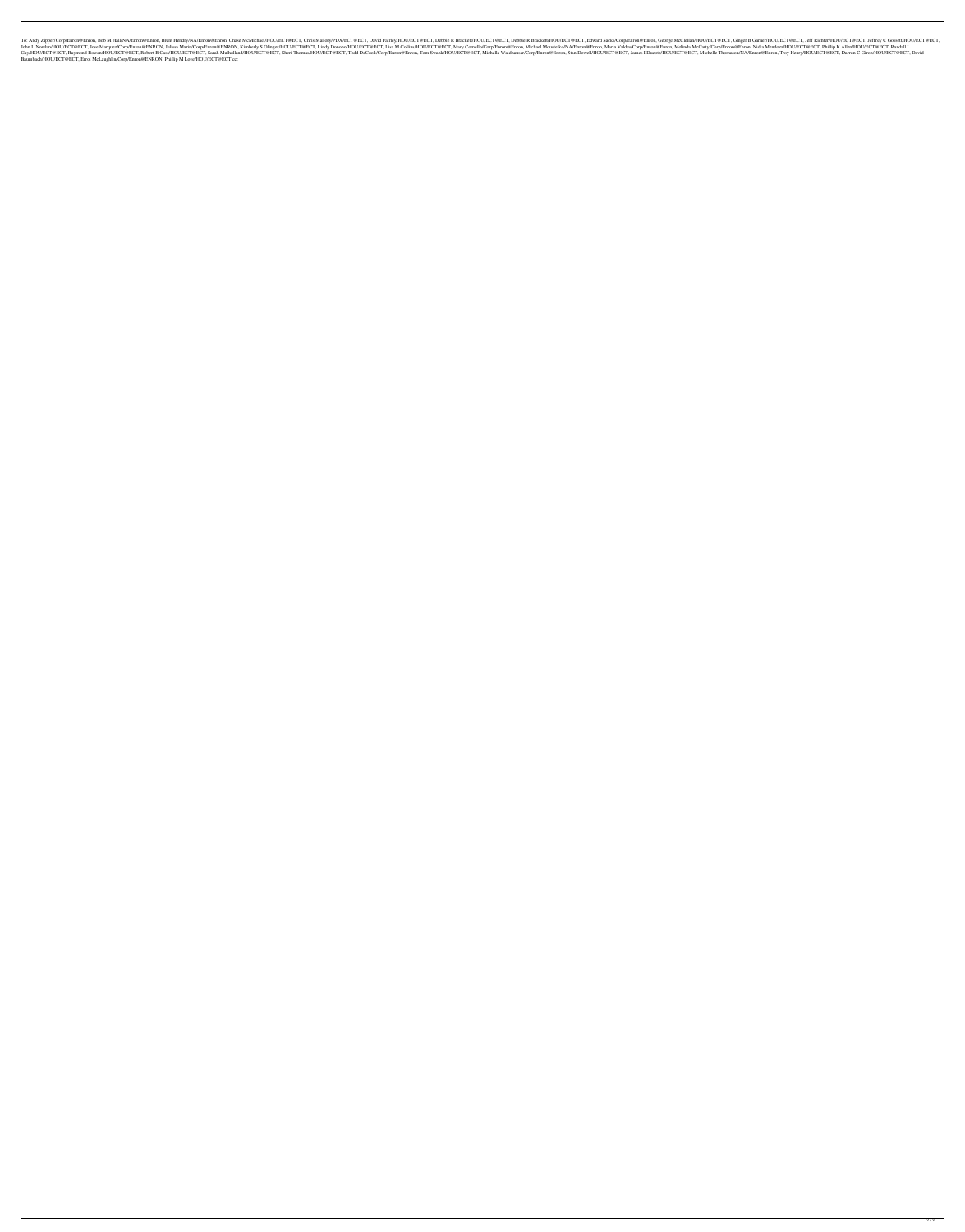Enron, Bob M Hall/NA/Enron@Enron, Brent Hendry/NA/Enron@Enron, Chase McMichael/HOU/ECT@ECT, Chris Mallory/PDX/ECT@ECT, David Fairley/HOU/ECT@ECT, David Fairley/HOU/ECT@ECT, Debbie R Brackett/HOU/ECT@ECT, Ginger B Garner/HO Enron@ENRON, Julissa Marin/Corp/Enron@ENRON, Kimberly S Olinger/HOU/ECT@ECT, Lindy Donoho/HOU/ECT@ECT, Lindy Donoho/HOU/ECT@ECT, Lindy Donoho/HOU/ECT@ECT, Mary Comello/Corp/Enron@Enron, Michael Mousteiko/NA/Enron@Enron, Me ECT, Raymond Bowen/HOU/ECT@ECT, Raymond Bowen/HOU/ECT@ECT, Sarah Mulholland/HOU/ECT@ECT, Sarah Mulholland/HOU/ECT@ECT, Sheri Thomas/HOU/ECT@ECT, Todd DeCook/Corp/Enron@Enron, Tom Swank/HOU/ECT@ECT, Michelle Waldhauser/Corp Baumbach/HOU/ECT@ECT, Errol McLaughlin/Corp/Enron@ENRON, Phillip M Love/HOU/ECT@ECT cc: